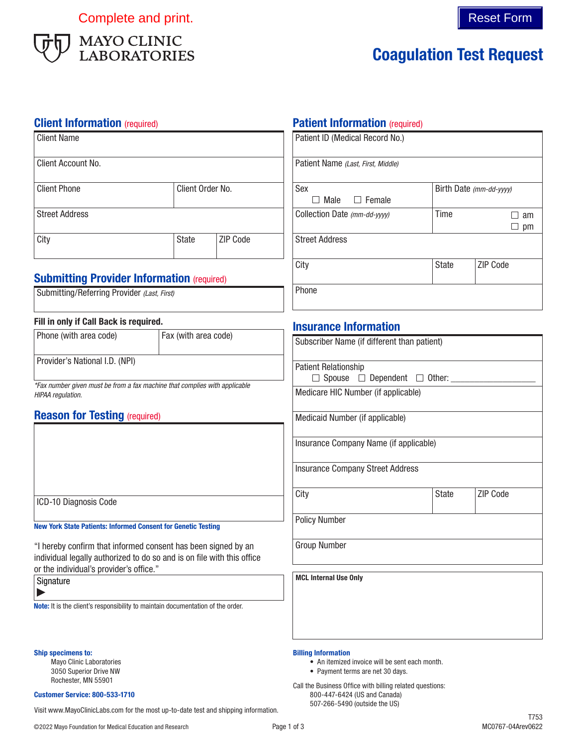Complete and print. Complete and print.



# Coagulation Test Request

### **Client Information** (required)

| Client Name           |                  |                 |
|-----------------------|------------------|-----------------|
| Client Account No.    |                  |                 |
| <b>Client Phone</b>   | Client Order No. |                 |
| <b>Street Address</b> |                  |                 |
| City                  | <b>State</b>     | <b>ZIP Code</b> |

## **Submitting Provider Information (required)**

Submitting/Referring Provider *(Last, First)*

### Fill in only if Call Back is required.

| Phone (with area code)         | Fax (with area code) |
|--------------------------------|----------------------|
| Provider's National I.D. (NPI) |                      |

*\*Fax number given must be from a fax machine that complies with applicable HIPAA regulation.*

## **Reason for Testing (required)**

ICD-10 Diagnosis Code

New York State Patients: Informed Consent for Genetic Testing

"I hereby confirm that informed consent has been signed by an individual legally authorized to do so and is on file with this office or the individual's provider's office."

| Signature |  |
|-----------|--|
|           |  |

Note: It is the client's responsibility to maintain documentation of the order.

#### Ship specimens to:

Mayo Clinic Laboratories 3050 Superior Drive NW Rochester, MN 55901

#### Customer Service: 800-533-1710

507-266-5490 (outside the US) Visit www.MayoClinicLabs.com for the most up-to-date test and shipping information.

## **Patient Information (required)**

| Patient ID (Medical Record No.)    |                         |                 |  |
|------------------------------------|-------------------------|-----------------|--|
| Patient Name (Last, First, Middle) |                         |                 |  |
| Sex                                | Birth Date (mm-dd-vyyy) |                 |  |
| Male<br>$\Box$ Female              |                         |                 |  |
| Collection Date (mm-dd-yyyy)       | Time                    | am              |  |
|                                    |                         | pm              |  |
| <b>Street Address</b>              |                         |                 |  |
| City                               | <b>State</b>            | <b>ZIP Code</b> |  |
| Phone                              |                         |                 |  |

## Insurance Information

| Subscriber Name (if different than patient)        |       |                 |  |
|----------------------------------------------------|-------|-----------------|--|
| <b>Patient Relationship</b>                        |       |                 |  |
| $\Box$ Spouse $\Box$ Dependent $\Box$ Other: _____ |       |                 |  |
| Medicare HIC Number (if applicable)                |       |                 |  |
| Medicaid Number (if applicable)                    |       |                 |  |
| Insurance Company Name (if applicable)             |       |                 |  |
| <b>Insurance Company Street Address</b>            |       |                 |  |
| City                                               | State | <b>ZIP Code</b> |  |
| <b>Policy Number</b>                               |       |                 |  |
| <b>Group Number</b>                                |       |                 |  |
| <b>MCL Internal Use Only</b>                       |       |                 |  |

#### Billing Information

- An itemized invoice will be sent each month.
- Payment terms are net 30 days.

Call the Business Office with billing related questions: 800-447-6424 (US and Canada)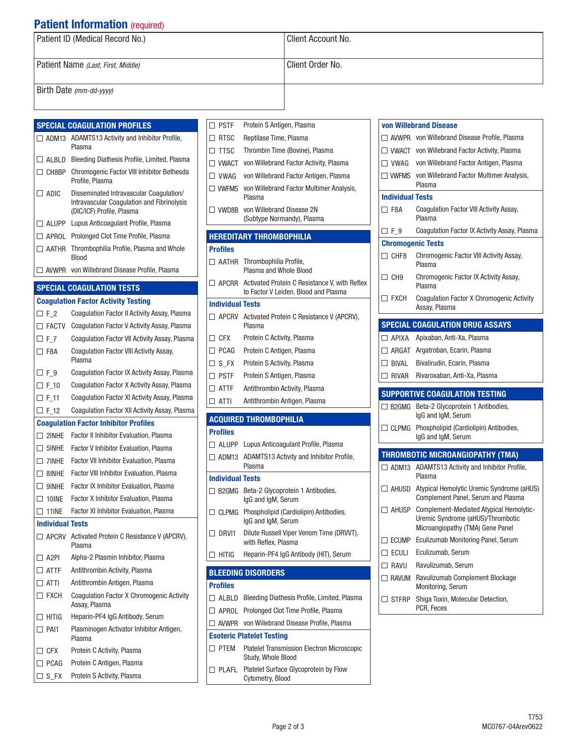## **Patient Information (required)**

| Patient ID (Medical Record No.)    | Client Account No. |
|------------------------------------|--------------------|
| Patient Name (Last, First, Middle) | Client Order No.   |
| Birth Date (mm-dd-yyyy)            |                    |

|                         | <b>SPECIAL COAGULATION PROFILES</b>                                                   | $\Box$ PSTF             | Protein S Antigen,                                     |
|-------------------------|---------------------------------------------------------------------------------------|-------------------------|--------------------------------------------------------|
|                         | $\Box$ ADM13 ADAMTS13 Activity and Inhibitor Profile,                                 | $\Box$ RTSC             | Reptilase Time, Pla                                    |
|                         | Plasma                                                                                | $\Box$ TTSC             | Thrombin Time (B)                                      |
|                         | $\Box$ ALBLD Bleeding Diathesis Profile, Limited, Plasma                              | $\Box$ VWACT            | von Willebrand Fa                                      |
| $\Box$ CH8BP            | Chromogenic Factor VIII Inhibitor Bethesda<br>Profile, Plasma                         | $\Box$ VWAG             | von Willebrand Fa                                      |
| $\Box$ ADIC             | Disseminated Intravascular Coagulation/<br>Intravascular Coagulation and Fibrinolysis | $\Box$ VWFMS            | von Willebrand Fa<br>Plasma                            |
|                         | (DIC/ICF) Profile, Plasma                                                             | $\square$ vwd8b         | von Willebrand Dis<br>(Subtype Normand                 |
|                         | □ ALUPP Lupus Anticoagulant Profile, Plasma                                           |                         |                                                        |
|                         | □ APROL Prolonged Clot Time Profile, Plasma                                           |                         | <b>HEREDITARY THROMBOP</b>                             |
|                         | $\Box$ AATHR Thrombophilia Profile, Plasma and Whole<br><b>Blood</b>                  | <b>Profiles</b>         |                                                        |
|                         | $\Box$ AVWPR von Willebrand Disease Profile, Plasma                                   |                         | AATHR Thrombophilia Pro<br>Plasma and Whole            |
|                         | <b>SPECIAL COAGULATION TESTS</b>                                                      |                         | $\Box$ APCRR Activated Protein (<br>to Factor V Leiden |
|                         | <b>Coagulation Factor Activity Testing</b>                                            | <b>Individual Tests</b> |                                                        |
| $\Box$ F_2              | Coaquiation Factor II Activity Assay, Plasma                                          |                         | □ APCRV Activated Protein (                            |
| $\Box$ FACTV            | Coagulation Factor V Activity Assay, Plasma                                           |                         | Plasma                                                 |
| $\Box$ F_7              | Coaqulation Factor VII Activity Assay, Plasma                                         | $\Box$ CFX              | Protein C Activity,                                    |
| $\square$ F8A           | Coagulation Factor VIII Activity Assay,                                               | $\Box$ PCAG             | Protein C Antigen,                                     |
|                         | Plasma                                                                                | $\square$ S FX          | Protein S Activity,                                    |
| $\Box$ F_9              | Coagulation Factor IX Activity Assay, Plasma                                          | $\Box$ PSTF             | Protein S Antigen,                                     |
| $\Box$ F_10             | Coagulation Factor X Activity Assay, Plasma                                           | $\Box$ atte             | Antithrombin Activ                                     |
|                         |                                                                                       |                         |                                                        |
| $\Box$ F_11             | Coagulation Factor XI Activity Assay, Plasma                                          | $\Box$ atti             | Antithrombin Antic                                     |
| $\Box$ F_12             | Coagulation Factor XII Activity Assay, Plasma                                         |                         |                                                        |
|                         | <b>Coaquiation Factor Inhibitor Profiles</b>                                          |                         | <b>ACQUIRED THROMBOPHII</b>                            |
| $\Box$ 2INHE            | Factor II Inhibitor Evaluation, Plasma                                                | <b>Profiles</b>         |                                                        |
| $\Box$ 5 INHE           | Factor V Inhibitor Evaluation, Plasma                                                 |                         | $\Box$ ALUPP Lupus Anticoagula                         |
| $\Box$ 7 $\Box$         | Factor VII Inhibitor Evaluation, Plasma                                               | $\Box$ ADM13            | <b>ADAMTS13 Activit</b><br>Plasma                      |
| $\Box$ 8 NHE            | Factor VIII Inhibitor Evaluation, Plasma                                              | <b>Individual Tests</b> |                                                        |
| $\Box$ 9 INHE           | Factor IX Inhibitor Evaluation, Plasma                                                |                         | $\Box$ B2GMG Beta-2 Glycoprote                         |
| $\Box$ 10 NE            | Factor X Inhibitor Evaluation, Plasma                                                 |                         | IgG and IgM, Seru                                      |
| $\Box$ 11INE            | Factor XI Inhibitor Evaluation, Plasma                                                |                         | $\Box$ CLPMG Phospholipid (Card                        |
| <b>Individual Tests</b> |                                                                                       |                         | IgG and IgM, Seru                                      |
|                         | $\Box$ APCRV Activated Protein C Resistance V (APCRV),<br>Plasma                      | $\Box$ DRVI1            | <b>Dilute Russell Vipe</b><br>with Reflex, Plasm       |
| $\Box$ A2PI             | Alpha-2 Plasmin Inhibitor, Plasma                                                     | $\Box$ HITIG            | Heparin-PF4 IgG A                                      |
| $\square$ atth          | Antithrombin Activity, Plasma                                                         |                         | <b>BLEEDING DISORDERS</b>                              |
| $\Box$ ATTI             | Antithrombin Antigen, Plasma                                                          | <b>Profiles</b>         |                                                        |
| $\Box$ FXCH             | Coagulation Factor X Chromogenic Activity<br>Assay, Plasma                            |                         | $\Box$ ALBLD Bleeding Diathesis                        |
| $\Box$ hitig            | Heparin-PF4 IgG Antibody, Serum                                                       |                         | □ APROL Prolonged Clot Tin                             |
| $\Box$ PAI1             | Plasminogen Activator Inhibitor Antigen,                                              |                         | $\Box$ AVWPR von Willebrand Dis                        |
|                         | Plasma                                                                                |                         | <b>Esoteric Platelet Testing</b>                       |
| $\Box$ CFX              | Protein C Activity, Plasma                                                            | $\square$ PTEM          | <b>Platelet Transmiss</b>                              |
| $\Box$ PCAG             | Protein C Antigen, Plasma                                                             | $\Box$ PLAFL            | Study, Whole Bloo<br><b>Platelet Surface G</b>         |

| $\square$ PSTF          | Protein S Antigen, Plasma                                                                          |
|-------------------------|----------------------------------------------------------------------------------------------------|
| $\Box$ RTSC             | Reptilase Time, Plasma                                                                             |
| $\square$ TTSC          | Thrombin Time (Bovine), Plasma                                                                     |
| $\Box$ VWACT            | von Willebrand Factor Activity, Plasma                                                             |
|                         | □ VWAG von Willebrand Factor Antigen, Plasma                                                       |
|                         | □ VWFMS von Willebrand Factor Multimer Analysis,<br>Plasma                                         |
| $\square$ vwd8b         | von Willebrand Disease 2N<br>(Subtype Normandy), Plasma                                            |
|                         | <b>HEREDITARY THROMBOPHILIA</b>                                                                    |
| <b>Profiles</b>         |                                                                                                    |
|                         | $\Box$ AATHR Thrombophilia Profile,<br>Plasma and Whole Blood                                      |
|                         | $\Box$ APCRR Activated Protein C Resistance V, with Reflex<br>to Factor V Leiden, Blood and Plasma |
| <b>Individual Tests</b> |                                                                                                    |
|                         | $\Box$ APCRV Activated Protein C Resistance V (APCRV),<br>Plasma                                   |
| $\Box$ CFX              | Protein C Activity, Plasma                                                                         |
| $\Box$ PCAG             | Protein C Antigen, Plasma                                                                          |
| $\square$ S_FX          | Protein S Activity, Plasma                                                                         |
| $\square$ PSTF          | Protein S Antigen, Plasma                                                                          |
| $\square$ attf          | Antithrombin Activity, Plasma                                                                      |
| $\Box$ atti             | Antithrombin Antigen, Plasma                                                                       |
|                         | <b>ACQUIRED THROMBOPHILIA</b>                                                                      |
| <b>Profiles</b>         |                                                                                                    |
|                         | □ ALUPP Lupus Anticoagulant Profile, Plasma                                                        |
| $\Box$ ADM13            | ADAMTS13 Activity and Inhibitor Profile,                                                           |
|                         | Plasma                                                                                             |
| <b>Individual Tests</b> |                                                                                                    |
| $\Box$ B2GMG            | Beta-2 Glycoprotein 1 Antibodies,<br>IgG and IgM, Serum                                            |
| $\Box$ clpmg            | Phospholipid (Cardiolipin) Antibodies,<br>IgG and IgM, Serum                                       |
|                         | $\Box$ DRVI1 Dilute Russell Viper Venom Time (DRVVT),<br>with Reflex, Plasma                       |
|                         |                                                                                                    |
| $\Box$ hitig            | Heparin-PF4 IgG Antibody (HIT), Serum                                                              |
|                         |                                                                                                    |
| <b>Profiles</b>         | <b>BLEEDING DISORDERS</b>                                                                          |
| $\Box$ albld            | Bleeding Diathesis Profile, Limited, Plasma                                                        |
| $\Box$ APROL            | Prolonged Clot Time Profile, Plasma                                                                |
| $\Box$ avwpr            | von Willebrand Disease Profile, Plasma                                                             |
|                         | <b>Esoteric Platelet Testing</b>                                                                   |
| $\square$ PTEM          | <b>Platelet Transmission Electron Microscopic</b><br>Study, Whole Blood                            |

| von Willebrand Disease<br>$\Box$ AVWPR von Willebrand Disease Profile, Plasma<br>$\Box$ VWACT von Willebrand Factor Activity, Plasma<br>$\Box$ VWAG<br>von Willebrand Factor Antigen, Plasma<br>$\Box$ VWFMS<br>von Willebrand Factor Multimer Analysis,<br>Plasma<br><b>Individual Tests</b><br>$\Box$ F8A<br>Coagulation Factor VIII Activity Assay,<br>Plasma<br>Coagulation Factor IX Activity Assay, Plasma<br>$\square$ F 9<br><b>Chromogenic Tests</b><br>Chromogenic Factor VIII Activity Assay,<br>$\Box$ CHF8<br>Plasma<br>$\Box$ CH9<br>Chromogenic Factor IX Activity Assay,<br>Plasma<br>$\Box$ FXCH<br>Coagulation Factor X Chromogenic Activity<br>Assay, Plasma<br><b>SPECIAL COAGULATION DRUG ASSAYS</b><br>Apixaban, Anti-Xa, Plasma<br>$\Box$ APIXA<br>Argatroban, Ecarin, Plasma<br>$\Box$ ARGAT<br>Bivalirudin, Ecarin, Plasma<br>$\Box$ BIVAL<br>Rivaroxaban, Anti-Xa, Plasma<br>$\Box$ Rivar<br><b>SUPPORTIVE COAGULATION TESTING</b><br>Beta-2 Glycoprotein 1 Antibodies,<br>$\Box$ B2GMG<br>IgG and IgM, Serum<br>Phospholipid (Cardiolipin) Antibodies,<br>$\Box$ clpmg<br>IgG and IgM, Serum<br>THROMBOTIC MICROANGIOPATHY (TMA)<br>$\Box$ ADM13<br>ADAMTS13 Activity and Inhibitor Profile,<br>Plasma<br>$\Box$ ahusd<br>Atypical Hemolytic Uremic Syndrome (aHUS)<br>Complement Panel, Serum and Plasma<br>Complement-Mediated Atypical Hemolytic-<br>$\Box$ AHUSP<br>Uremic Syndrome (aHUS)/Thrombotic<br>Microangiopathy (TMA) Gene Panel<br>$\Box$ ecump<br>Eculizumab Monitoring Panel, Serum<br>$\Box$ eculi<br>Eculizumab, Serum<br>Ravulizumab, Serum<br>$\Box$ RAVU<br>RAVUM Ravulizumab Complement Blockage<br>Monitoring, Serum<br>Shiga Toxin, Molecular Detection,<br>$\Box$ sterp<br>PCR, Feces |  |
|-------------------------------------------------------------------------------------------------------------------------------------------------------------------------------------------------------------------------------------------------------------------------------------------------------------------------------------------------------------------------------------------------------------------------------------------------------------------------------------------------------------------------------------------------------------------------------------------------------------------------------------------------------------------------------------------------------------------------------------------------------------------------------------------------------------------------------------------------------------------------------------------------------------------------------------------------------------------------------------------------------------------------------------------------------------------------------------------------------------------------------------------------------------------------------------------------------------------------------------------------------------------------------------------------------------------------------------------------------------------------------------------------------------------------------------------------------------------------------------------------------------------------------------------------------------------------------------------------------------------------------------------------------------------------------------------------------------------------------------------|--|
|                                                                                                                                                                                                                                                                                                                                                                                                                                                                                                                                                                                                                                                                                                                                                                                                                                                                                                                                                                                                                                                                                                                                                                                                                                                                                                                                                                                                                                                                                                                                                                                                                                                                                                                                           |  |
|                                                                                                                                                                                                                                                                                                                                                                                                                                                                                                                                                                                                                                                                                                                                                                                                                                                                                                                                                                                                                                                                                                                                                                                                                                                                                                                                                                                                                                                                                                                                                                                                                                                                                                                                           |  |
|                                                                                                                                                                                                                                                                                                                                                                                                                                                                                                                                                                                                                                                                                                                                                                                                                                                                                                                                                                                                                                                                                                                                                                                                                                                                                                                                                                                                                                                                                                                                                                                                                                                                                                                                           |  |
|                                                                                                                                                                                                                                                                                                                                                                                                                                                                                                                                                                                                                                                                                                                                                                                                                                                                                                                                                                                                                                                                                                                                                                                                                                                                                                                                                                                                                                                                                                                                                                                                                                                                                                                                           |  |
|                                                                                                                                                                                                                                                                                                                                                                                                                                                                                                                                                                                                                                                                                                                                                                                                                                                                                                                                                                                                                                                                                                                                                                                                                                                                                                                                                                                                                                                                                                                                                                                                                                                                                                                                           |  |
|                                                                                                                                                                                                                                                                                                                                                                                                                                                                                                                                                                                                                                                                                                                                                                                                                                                                                                                                                                                                                                                                                                                                                                                                                                                                                                                                                                                                                                                                                                                                                                                                                                                                                                                                           |  |
|                                                                                                                                                                                                                                                                                                                                                                                                                                                                                                                                                                                                                                                                                                                                                                                                                                                                                                                                                                                                                                                                                                                                                                                                                                                                                                                                                                                                                                                                                                                                                                                                                                                                                                                                           |  |
|                                                                                                                                                                                                                                                                                                                                                                                                                                                                                                                                                                                                                                                                                                                                                                                                                                                                                                                                                                                                                                                                                                                                                                                                                                                                                                                                                                                                                                                                                                                                                                                                                                                                                                                                           |  |
|                                                                                                                                                                                                                                                                                                                                                                                                                                                                                                                                                                                                                                                                                                                                                                                                                                                                                                                                                                                                                                                                                                                                                                                                                                                                                                                                                                                                                                                                                                                                                                                                                                                                                                                                           |  |
|                                                                                                                                                                                                                                                                                                                                                                                                                                                                                                                                                                                                                                                                                                                                                                                                                                                                                                                                                                                                                                                                                                                                                                                                                                                                                                                                                                                                                                                                                                                                                                                                                                                                                                                                           |  |
|                                                                                                                                                                                                                                                                                                                                                                                                                                                                                                                                                                                                                                                                                                                                                                                                                                                                                                                                                                                                                                                                                                                                                                                                                                                                                                                                                                                                                                                                                                                                                                                                                                                                                                                                           |  |
|                                                                                                                                                                                                                                                                                                                                                                                                                                                                                                                                                                                                                                                                                                                                                                                                                                                                                                                                                                                                                                                                                                                                                                                                                                                                                                                                                                                                                                                                                                                                                                                                                                                                                                                                           |  |
|                                                                                                                                                                                                                                                                                                                                                                                                                                                                                                                                                                                                                                                                                                                                                                                                                                                                                                                                                                                                                                                                                                                                                                                                                                                                                                                                                                                                                                                                                                                                                                                                                                                                                                                                           |  |
|                                                                                                                                                                                                                                                                                                                                                                                                                                                                                                                                                                                                                                                                                                                                                                                                                                                                                                                                                                                                                                                                                                                                                                                                                                                                                                                                                                                                                                                                                                                                                                                                                                                                                                                                           |  |
|                                                                                                                                                                                                                                                                                                                                                                                                                                                                                                                                                                                                                                                                                                                                                                                                                                                                                                                                                                                                                                                                                                                                                                                                                                                                                                                                                                                                                                                                                                                                                                                                                                                                                                                                           |  |
|                                                                                                                                                                                                                                                                                                                                                                                                                                                                                                                                                                                                                                                                                                                                                                                                                                                                                                                                                                                                                                                                                                                                                                                                                                                                                                                                                                                                                                                                                                                                                                                                                                                                                                                                           |  |
|                                                                                                                                                                                                                                                                                                                                                                                                                                                                                                                                                                                                                                                                                                                                                                                                                                                                                                                                                                                                                                                                                                                                                                                                                                                                                                                                                                                                                                                                                                                                                                                                                                                                                                                                           |  |
|                                                                                                                                                                                                                                                                                                                                                                                                                                                                                                                                                                                                                                                                                                                                                                                                                                                                                                                                                                                                                                                                                                                                                                                                                                                                                                                                                                                                                                                                                                                                                                                                                                                                                                                                           |  |
|                                                                                                                                                                                                                                                                                                                                                                                                                                                                                                                                                                                                                                                                                                                                                                                                                                                                                                                                                                                                                                                                                                                                                                                                                                                                                                                                                                                                                                                                                                                                                                                                                                                                                                                                           |  |
|                                                                                                                                                                                                                                                                                                                                                                                                                                                                                                                                                                                                                                                                                                                                                                                                                                                                                                                                                                                                                                                                                                                                                                                                                                                                                                                                                                                                                                                                                                                                                                                                                                                                                                                                           |  |
|                                                                                                                                                                                                                                                                                                                                                                                                                                                                                                                                                                                                                                                                                                                                                                                                                                                                                                                                                                                                                                                                                                                                                                                                                                                                                                                                                                                                                                                                                                                                                                                                                                                                                                                                           |  |
|                                                                                                                                                                                                                                                                                                                                                                                                                                                                                                                                                                                                                                                                                                                                                                                                                                                                                                                                                                                                                                                                                                                                                                                                                                                                                                                                                                                                                                                                                                                                                                                                                                                                                                                                           |  |
|                                                                                                                                                                                                                                                                                                                                                                                                                                                                                                                                                                                                                                                                                                                                                                                                                                                                                                                                                                                                                                                                                                                                                                                                                                                                                                                                                                                                                                                                                                                                                                                                                                                                                                                                           |  |
|                                                                                                                                                                                                                                                                                                                                                                                                                                                                                                                                                                                                                                                                                                                                                                                                                                                                                                                                                                                                                                                                                                                                                                                                                                                                                                                                                                                                                                                                                                                                                                                                                                                                                                                                           |  |
|                                                                                                                                                                                                                                                                                                                                                                                                                                                                                                                                                                                                                                                                                                                                                                                                                                                                                                                                                                                                                                                                                                                                                                                                                                                                                                                                                                                                                                                                                                                                                                                                                                                                                                                                           |  |
|                                                                                                                                                                                                                                                                                                                                                                                                                                                                                                                                                                                                                                                                                                                                                                                                                                                                                                                                                                                                                                                                                                                                                                                                                                                                                                                                                                                                                                                                                                                                                                                                                                                                                                                                           |  |
|                                                                                                                                                                                                                                                                                                                                                                                                                                                                                                                                                                                                                                                                                                                                                                                                                                                                                                                                                                                                                                                                                                                                                                                                                                                                                                                                                                                                                                                                                                                                                                                                                                                                                                                                           |  |
|                                                                                                                                                                                                                                                                                                                                                                                                                                                                                                                                                                                                                                                                                                                                                                                                                                                                                                                                                                                                                                                                                                                                                                                                                                                                                                                                                                                                                                                                                                                                                                                                                                                                                                                                           |  |
|                                                                                                                                                                                                                                                                                                                                                                                                                                                                                                                                                                                                                                                                                                                                                                                                                                                                                                                                                                                                                                                                                                                                                                                                                                                                                                                                                                                                                                                                                                                                                                                                                                                                                                                                           |  |